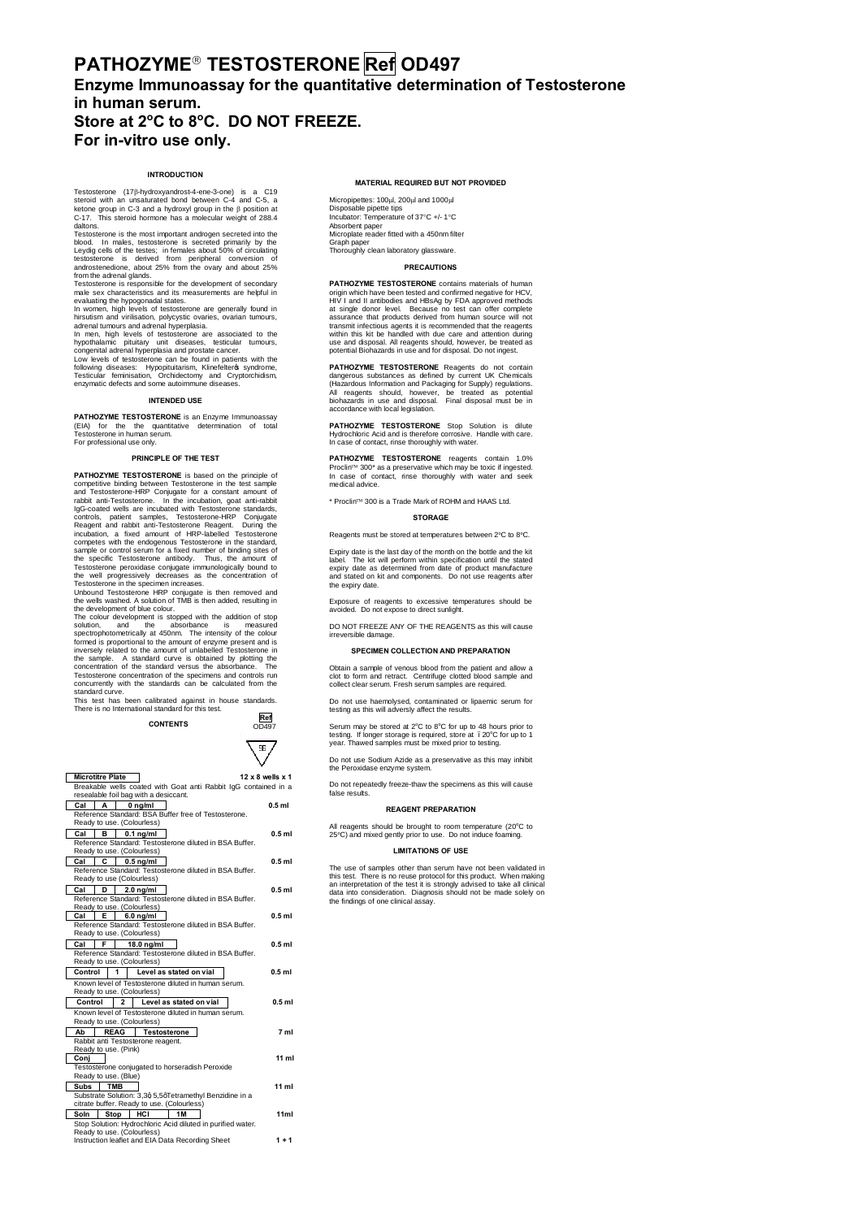# **PATHOZYME**' **TESTOSTERONE Ref OD497 Enzyme Immunoassay for the quantitative determination of Testosterone in human serum. Store at 2<sup>o</sup> C to 8<sup>o</sup> C. DO NOT FREEZE. For in-vitro use only.**

## **INTRODUCTION**

Testosterone (17b-hydroxyandrost-4-ene-3-one) is a C19 steroid with an unsaturated bond between C-4 and C-5, a ketone group in C-3 and a hydroxyl group in the β position at<br>C-17. This steroid hormone has a molecular weight of 288.4

daltons.<br>Testosterone is the most important androgen secreted into the<br>example of primarily by the Testosterone is the most important androgen secreted into the blood. In males, testosterone is secreted primarily by the Leydig cells of the testes; in females about 50% of circulating testosterone is derived from peripher

In men, high levels of testosterone are associated to the hypothalamic pituitary unit diseases, testicular tumours, congenital adrenal hyperplasia and prostate cancer. Low levels of testosterone can be found in patients with the

following diseases: Hypopituitarism, Klinefelteros syndrome,<br>Testicular feminisation, Orchidectomy and Cryptorchidism,<br>enzymatic defectsand some autoimmune diseases.

## **INTENDED USE**

**PATHOZYME TESTOSTERONE** is an Enzyme Immunoassay (EIA) for the the quantitative determination of total Testosterone in human serum. For professional use only.

## **PRINCIPLE OF THE TEST**

**PATHOZYME TESTOSTERONE** is based on the principle of<br>competitive binding between Testosterone in the test sample<br>and Testosterone-HRP Conjugate for a constant amount of<br>rabbit anti-Testosterone. In the incubation, goat an Reagent and rabbit anti-Testosterone Reagent. During the incubation, a fixed amount of HRP-labelled Testosterone competes with the endogenous Testosterone in the standard, sample or control serum for a fixed number of binding sites of the specific Testosterone antibody. Thus, the amount of Testosterone peroxidase conjugate immunologically bound to the well progressively decreases as the concentration of

Testosterone in the specience increases.<br>Chromome in the specience increases the under discussion of TMB is then added, resulting in<br>the development of blue colour.<br>The colour development is stopped with the addition of st Testosterone concentration of the specimens and controls run<br>concurrently with the standards can be calculated from the standard curve.

This test has been calibrated against in house standards. There is no International standard for this test.



|                                                                                   | <b>Microtitre Plate</b> |             |                                       |                                                             | 12 x 8 wells x 1 |  |
|-----------------------------------------------------------------------------------|-------------------------|-------------|---------------------------------------|-------------------------------------------------------------|------------------|--|
| Breakable wells coated with Goat anti Rabbit IqG contained in a                   |                         |             |                                       |                                                             |                  |  |
|                                                                                   |                         |             | resealable foil bag with a desiccant. |                                                             |                  |  |
| Cal                                                                               | A                       |             | $0$ ng/ml                             |                                                             | $0.5$ ml         |  |
|                                                                                   |                         |             |                                       | Reference Standard: BSA Buffer free of Testosterone.        |                  |  |
|                                                                                   |                         |             | Ready to use. (Colourless)            |                                                             |                  |  |
| Cal                                                                               | в                       |             | $0.1$ ng/ml                           |                                                             | $0.5$ ml         |  |
|                                                                                   |                         |             |                                       | Reference Standard: Testosterone diluted in BSA Buffer.     |                  |  |
|                                                                                   |                         |             | Ready to use. (Colourless)            |                                                             |                  |  |
| Cal                                                                               | c                       |             | $0.5$ ng/ml                           |                                                             | $0.5$ ml         |  |
|                                                                                   |                         |             |                                       | Reference Standard: Testosterone diluted in BSA Buffer.     |                  |  |
|                                                                                   |                         |             | Ready to use (Colourless)             |                                                             |                  |  |
| Cal                                                                               | D                       |             | 2.0 ng/ml                             |                                                             | $0.5$ ml         |  |
|                                                                                   |                         |             | Ready to use. (Colourless)            | Reference Standard: Testosterone diluted in BSA Buffer.     |                  |  |
| Cal                                                                               | Е                       |             | $6.0$ na/ml                           |                                                             | $0.5$ ml         |  |
|                                                                                   |                         |             |                                       | Reference Standard: Testosterone diluted in BSA Buffer.     |                  |  |
|                                                                                   |                         |             | Ready to use. (Colourless)            |                                                             |                  |  |
| Cal                                                                               | F                       |             | $18.0$ ng/ml                          |                                                             | $0.5$ ml         |  |
|                                                                                   |                         |             |                                       | Reference Standard: Testosterone diluted in BSA Buffer.     |                  |  |
|                                                                                   |                         |             | Ready to use. (Colourless)            |                                                             |                  |  |
| Control                                                                           |                         | 1           |                                       | Level as stated on vial                                     | $0.5$ ml         |  |
|                                                                                   |                         |             |                                       | Known level of Testosterone diluted in human serum.         |                  |  |
|                                                                                   |                         |             | Ready to use. (Colourless)            |                                                             |                  |  |
| Control                                                                           |                         | 2           |                                       | Level as stated on vial                                     | $0.5$ ml         |  |
|                                                                                   |                         |             |                                       |                                                             |                  |  |
| Known level of Testosterone diluted in human serum.<br>Ready to use. (Colourless) |                         |             |                                       |                                                             |                  |  |
| Ab                                                                                |                         | <b>REAG</b> | <b>Testosterone</b>                   |                                                             | 7 <sub>m1</sub>  |  |
|                                                                                   |                         |             | Rabbit anti Testosterone reagent.     |                                                             |                  |  |
|                                                                                   | Ready to use. (Pink)    |             |                                       |                                                             |                  |  |
| Conj                                                                              |                         |             |                                       |                                                             | 11 ml            |  |
|                                                                                   |                         |             |                                       | Testosterone conjugated to horseradish Peroxide             |                  |  |
|                                                                                   | Ready to use. (Blue)    |             |                                       |                                                             |                  |  |
| Subs                                                                              | <b>TMB</b>              |             |                                       |                                                             | $11$ ml          |  |
|                                                                                   |                         |             |                                       | Substrate Solution: 3,3q 5,5qTetramethyl Benzidine in a     |                  |  |
|                                                                                   |                         |             |                                       | citrate buffer. Ready to use. (Colourless)                  |                  |  |
| Soln                                                                              | <b>Stop</b>             |             | HCI                                   | <b>1M</b>                                                   | 11ml             |  |
|                                                                                   |                         |             |                                       | Stop Solution: Hydrochloric Acid diluted in purified water. |                  |  |
|                                                                                   |                         |             | Ready to use. (Colourless)            |                                                             |                  |  |
|                                                                                   |                         |             |                                       | Instruction leaflet and EIA Data Recording Sheet            | $1 + 1$          |  |

## **MATERIAL REQUIRED BUT NOT PROVIDED**

Micropipettes: 100µl, 200µl and 1000µl Disposable pipette tips Incubator: Temperature of 37°C +/- 1°C Absorbent paper Microplate reader fitted with a 450nm filter

Graph paper Thoroughly clean laboratory glassware.

## **PRECAUTIONS**

**PATHOZYME TESTOSTEROME** contains materials of human<br>origin which have been tested and confirmed negative for HCV,<br>HIV I and II antibodies and HBsAg by FDA approved methods<br>at single donor level. Because no test can offer transmit infectious agents it is recommended that the reagents within this kit be handled with due care and attention during use and disposal. All reagents should, however, be treated as potential Biohazards in use and for disposal. Do not ingest.

**PATHOZYME TESTOSTERONE** Reagents do not contain dangerous substrances as defined by current UK Chemicals (Hazardous Information and Packaging for Supply) regulations.<br>All reagents should, however, be treated as potential

PATHOZYME TESTOSTERONE Stop Solution is dilute<br>Hydrochloric Acid and is therefore corrosive. Handle with care.<br>In case of contact, rinse thoroughly with water.

**PATHOZYME TESTOSTERONE** reagents contain 1.0%<br>Proclin™ 300\* as a preservative which may be toxic if ingested.<br>In case of contact, rinse thoroughly with water and seek medical advice.

\* Proclin<sup>1M</sup> 300 is a Trade Mark of ROHM and HAAS Ltd.

#### **STORAGE**

Reagents must be stored at temperatures between 2°C to 8°C.

Expiry date is the last day of the month on the bottle and the kit<br>label. The kit will perform within specification until the stated<br>expiry date as determined from date of product manufacture<br>and stated on kit and componen

Exposure of reagents to excessive temperatures should be avoided. Do not expose to direct sunlight.

DO NOT FREEZE ANY OF THE REAGENTS as this will cause

## **SPECIMEN COLLECTION AND PREPARATION**

Obtain a sample of venous blood from the patient and allow a clot to form and retract. Centrifuge clotted blood sample and collect clear serum. Fresh serum samples are required.

Do not use haemolysed, contaminated or lipaemic serum for testing as this will adversly affect the results.

Serum may be stored at 2°C to 8°C for up to 48 hours prior to<br>testing. If longer storage is required, store at . 20°C for up to 1<br>year. Thawed samples must be mixed prior to testing.

Do not use Sodium Azide as a preservative as this may inhibit the Peroxidase enzyme system.

Do not repeatedly freeze-thaw the specimens as this will cause

#### false results.

**REAGENT PREPARATION**

irreversible damage.

All reagents should be brought to room temperature (20°C to 25°C) and mixed gently prior to use. Do not induce foaming.

#### **LIMITATIONS OF USE**

The use of samples other than serum have not been validated in this test. There is no reuse protocol for this product. When making<br>an interpretation of the test it is strongly advised to take all clinical<br>data into consideration. Diagnosis should not be made solely on<br>the findings of